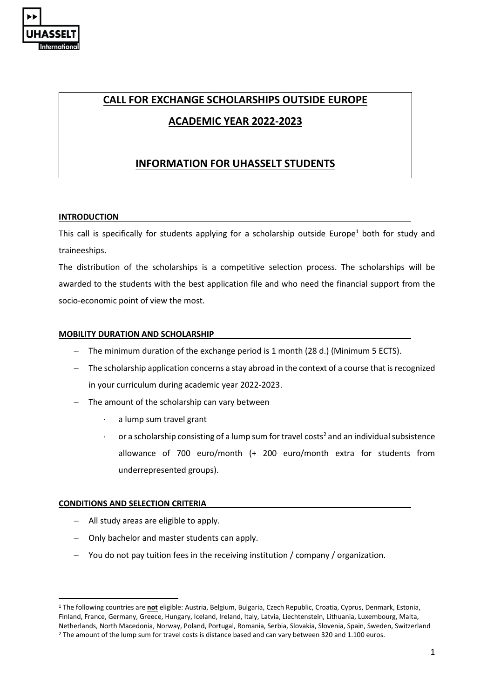

# **CALL FOR EXCHANGE SCHOLARSHIPS OUTSIDE EUROPE**

**ACADEMIC YEAR 2022-2023**

# **INFORMATION FOR UHASSELT STUDENTS**

# **INTRODUCTION**

This call is specifically for students applying for a scholarship outside Europe<sup>1</sup> both for study and traineeships.

The distribution of the scholarships is a competitive selection process. The scholarships will be awarded to the students with the best application file and who need the financial support from the socio-economic point of view the most.

# **MOBILITY DURATION AND SCHOLARSHIP**

- − The minimum duration of the exchange period is 1 month (28 d.) (Minimum 5 ECTS).
- − The scholarship application concerns a stay abroad in the context of a course that is recognized in your curriculum during academic year 2022-2023.
- − The amount of the scholarship can vary between
	- a lump sum travel grant
	- or a scholarship consisting of a lump sum for travel costs<sup>2</sup> and an individual subsistence allowance of 700 euro/month (+ 200 euro/month extra for students from underrepresented groups).

# **CONDITIONS AND SELECTION CRITERIA**

 $\overline{a}$ 

- − All study areas are eligible to apply.
- − Only bachelor and master students can apply.
- − You do not pay tuition fees in the receiving institution / company / organization.

<sup>1</sup> The following countries are **not** eligible: Austria, Belgium, Bulgaria, Czech Republic, Croatia, Cyprus, Denmark, Estonia, Finland, France, Germany, Greece, Hungary, Iceland, Ireland, Italy, Latvia, Liechtenstein, Lithuania, Luxembourg, Malta, Netherlands, North Macedonia, Norway, Poland, Portugal, Romania, Serbia, Slovakia, Slovenia, Spain, Sweden, Switzerland <sup>2</sup> The amount of the lump sum for travel costs is distance based and can vary between 320 and 1.100 euros.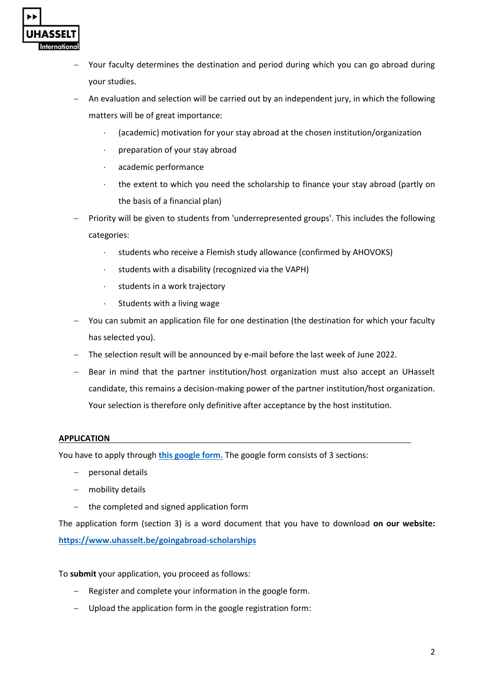

- Your faculty determines the destination and period during which you can go abroad during your studies.
- An evaluation and selection will be carried out by an independent jury, in which the following matters will be of great importance:
	- (academic) motivation for your stay abroad at the chosen institution/organization
	- preparation of your stay abroad
	- academic performance
	- the extent to which you need the scholarship to finance your stay abroad (partly on the basis of a financial plan)
- Priority will be given to students from 'underrepresented groups'. This includes the following categories:
	- students who receive a Flemish study allowance (confirmed by AHOVOKS)
	- $\cdot$  students with a disability (recognized via the VAPH)
	- $\cdot$  students in a work trajectory
	- $\cdot$  Students with a living wage
- − You can submit an application file for one destination (the destination for which your faculty has selected you).
- − The selection result will be announced by e-mail before the last week of June 2022.
- − Bear in mind that the partner institution/host organization must also accept an UHasselt candidate, this remains a decision-making power of the partner institution/host organization. Your selection is therefore only definitive after acceptance by the host institution.

# **APPLICATION**

You have to apply through **[this google form.](https://docs.google.com/forms/d/1Vzo2rU938kIlTpAwLY_0yWXLqrUprFT--Ku5X2oGofA/viewform?edit_requested=true&pli=1)** The google form consists of 3 sections:

- − personal details
- − mobility details
- − the completed and signed application form

The application form (section 3) is a word document that you have to download **on our website: <https://www.uhasselt.be/goingabroad-scholarships>**

To **submit** your application, you proceed as follows:

- − Register and complete your information in the google form.
- − Upload the application form in the google registration form: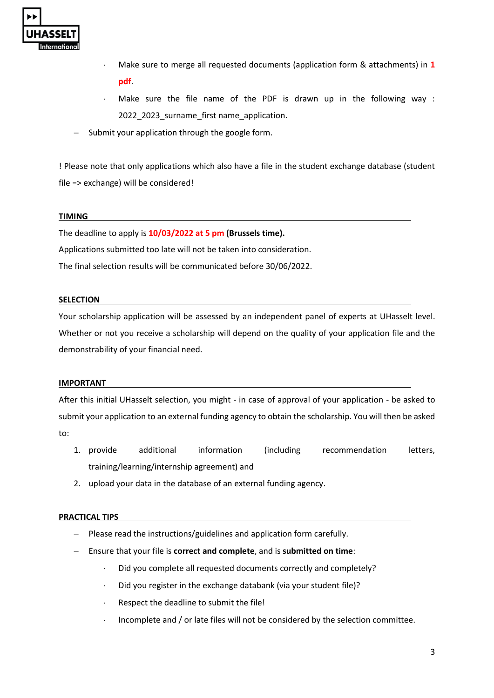

- Make sure to merge all requested documents (application form & attachments) in **1 pdf**.
- Make sure the file name of the PDF is drawn up in the following way : 2022\_2023\_surname\_first name\_application.
- Submit your application through the google form.

! Please note that only applications which also have a file in the student exchange database (student file => exchange) will be considered!

# **TIMING**

The deadline to apply is **10/03/2022 at 5 pm (Brussels time).** Applications submitted too late will not be taken into consideration.

The final selection results will be communicated before 30/06/2022.

## **SELECTION**

Your scholarship application will be assessed by an independent panel of experts at UHasselt level. Whether or not you receive a scholarship will depend on the quality of your application file and the demonstrability of your financial need.

### **IMPORTANT**

After this initial UHasselt selection, you might - in case of approval of your application - be asked to submit your application to an external funding agency to obtain the scholarship. You will then be asked to:

- 1. provide additional information (including recommendation letters, training/learning/internship agreement) and
- 2. upload your data in the database of an external funding agency.

# **PRACTICAL TIPS**

- − Please read the instructions/guidelines and application form carefully.
- − Ensure that your file is **correct and complete**, and is **submitted on time**:
	- Did you complete all requested documents correctly and completely?
	- $\cdot$  Did you register in the exchange databank (via your student file)?
	- Respect the deadline to submit the file!
	- Incomplete and / or late files will not be considered by the selection committee.